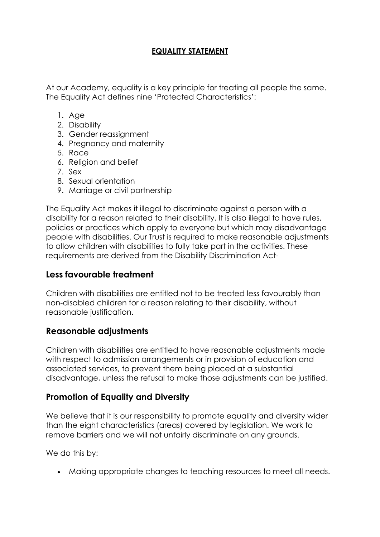## **EQUALITY STATEMENT**

At our Academy, equality is a key principle for treating all people the same. The Equality Act defines nine 'Protected Characteristics':

- 1. Age
- 2. Disability
- 3. Gender reassignment
- 4. Pregnancy and maternity
- 5. Race
- 6. Religion and belief
- 7. Sex
- 8. Sexual orientation
- 9. Marriage or civil partnership

The Equality Act makes it illegal to discriminate against a person with a disability for a reason related to their disability. It is also illegal to have rules, policies or practices which apply to everyone but which may disadvantage people with disabilities. Our Trust is required to make reasonable adjustments to allow children with disabilities to fully take part in the activities. These requirements are derived from the Disability Discrimination Act-

## **Less favourable treatment**

Children with disabilities are entitled not to be treated less favourably than non-disabled children for a reason relating to their disability, without reasonable justification.

## **Reasonable adjustments**

Children with disabilities are entitled to have reasonable adjustments made with respect to admission arrangements or in provision of education and associated services, to prevent them being placed at a substantial disadvantage, unless the refusal to make those adjustments can be justified.

## **Promotion of Equality and Diversity**

We believe that it is our responsibility to promote equality and diversity wider than the eight characteristics (areas) covered by legislation. We work to remove barriers and we will not unfairly discriminate on any grounds.

We do this by:

Making appropriate changes to teaching resources to meet all needs.